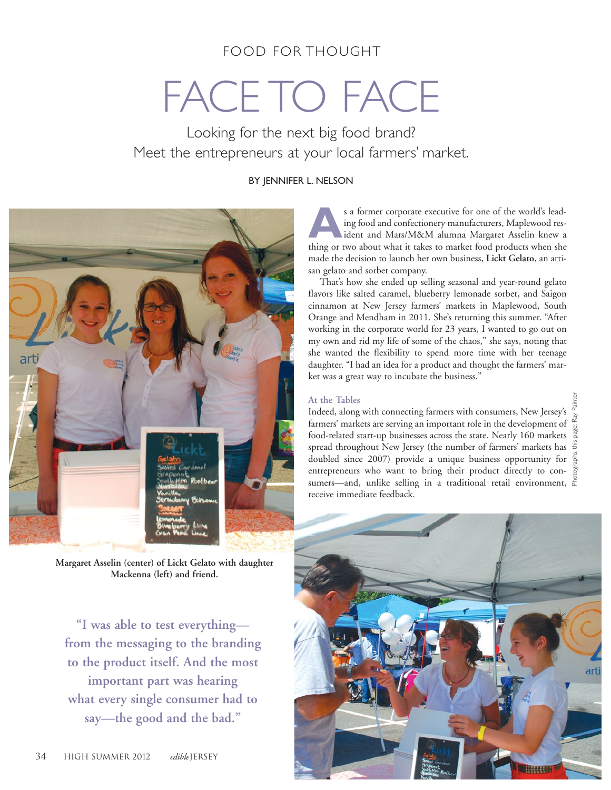### FOOD FOR THOUGHT

# FACE TO FACE

Looking for the next big food brand? Meet the entrepreneurs at your local farmers' market.

#### BY JENNIFER L. NELSON



**Margaret Asselin (center) of Lickt Gelato with daughter Mackenna (left) and friend.**

**"I was able to test everything from the messaging to the branding to the product itself. And the most important part was hearing what every single consumer had to say—the good and the bad."**

s a former corporate executive for one of the world's lead-<br>ing food and confectionery manufacturers, Maplewood res-<br>ident and Mars/M&M alumna Margaret Asselin knew a<br>thing or two about what it takes to market food product ing food and confectionery manufacturers, Maplewood resthing or two about what it takes to market food products when she made the decision to launch her own business, **Lickt Gelato**, an artisan gelato and sorbet company.

That's how she ended up selling seasonal and year-round gelato flavors like salted caramel, blueberry lemonade sorbet, and Saigon cinnamon at New Jersey farmers' markets in Maplewood, South Orange and Mendham in 2011. She's returning this summer. "After working in the corporate world for 23 years, I wanted to go out on my own and rid my life of some of the chaos," she says, noting that she wanted the flexibility to spend more time with her teenage daughter. "I had an idea for a product and thought the farmers' market was a great way to incubate the business."

#### **At the Tables**

Indeed, along with connecting farmers with consumers, New Jersey's farmers' markets are serving an important role in the development of  $\frac{2}{\omega}$ food-related start-up businesses across the state. Nearly 160 markets spread throughout New Jersey (the number of farmers' markets has doubled since 2007) provide a unique business opportunity for  $\frac{2}{9}$ entrepreneurs who want to bring their product directly to consumers—and, unlike selling in a traditional retail environment,  $\frac{8}{6}$ receive immediate feedback. Photographs, this page: Ray Painter

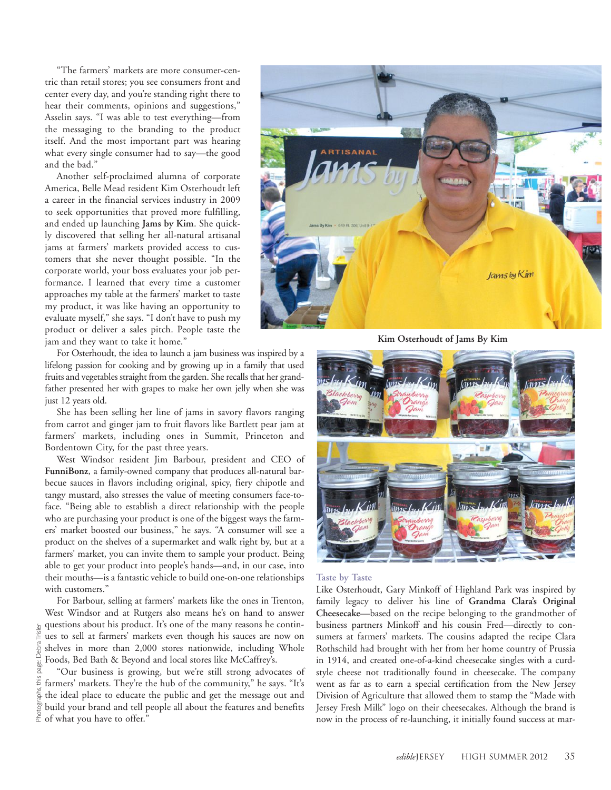"The farmers' markets are more consumer-centric than retail stores; you see consumers front and center every day, and you're standing right there to hear their comments, opinions and suggestions," Asselin says. "I was able to test everything—from the messaging to the branding to the product itself. And the most important part was hearing what every single consumer had to say—the good and the bad."

Another self-proclaimed alumna of corporate America, Belle Mead resident Kim Osterhoudt left a career in the financial services industry in 2009 to seek opportunities that proved more fulfilling, and ended up launching **Jams by Kim**. She quickly discovered that selling her all-natural artisanal jams at farmers' markets provided access to customers that she never thought possible. "In the corporate world, your boss evaluates your job performance. I learned that every time a customer approaches my table at the farmers' market to taste my product, it was like having an opportunity to evaluate myself," she says. "I don't have to push my product or deliver a sales pitch. People taste the jam and they want to take it home."

For Osterhoudt, the idea to launch a jam business was inspired by a lifelong passion for cooking and by growing up in a family that used fruits and vegetables straight from the garden. She recalls that her grandfather presented her with grapes to make her own jelly when she was just 12 years old.

She has been selling her line of jams in savory flavors ranging from carrot and ginger jam to fruit flavors like Bartlett pear jam at farmers' markets, including ones in Summit, Princeton and Bordentown City, for the past three years.

West Windsor resident Jim Barbour, president and CEO of **FunniBonz**, a family-owned company that produces all-natural barbecue sauces in flavors including original, spicy, fiery chipotle and tangy mustard, also stresses the value of meeting consumers face-toface. "Being able to establish a direct relationship with the people who are purchasing your product is one of the biggest ways the farmers' market boosted our business," he says. "A consumer will see a product on the shelves of a supermarket and walk right by, but at a farmers' market, you can invite them to sample your product. Being able to get your product into people's hands—and, in our case, into their mouths—is a fantastic vehicle to build one-on-one relationships with customers."

For Barbour, selling at farmers' markets like the ones in Trenton, West Windsor and at Rutgers also means he's on hand to answer questions about his product. It's one of the many reasons he continues to sell at farmers' markets even though his sauces are now on shelves in more than 2,000 stores nationwide, including Whole Foods, Bed Bath & Beyond and local stores like McCaffrey's.

Debra

"Our business is growing, but we're still strong advocates of farmers' markets. They're the hub of the community," he says. "It's the ideal place to educate the public and get the message out and build your brand and tell people all about the features and benefits  $\leq$  of what you have to offer." Photographs, this page: Debra Trisler



**Kim Osterhoudt of Jams By Kim**



#### **Taste by Taste**

Like Osterhoudt, Gary Minkoff of Highland Park was inspired by family legacy to deliver his line of **Grandma Clara's Original Cheesecake**—based on the recipe belonging to the grandmother of business partners Minkoff and his cousin Fred—directly to consumers at farmers' markets. The cousins adapted the recipe Clara Rothschild had brought with her from her home country of Prussia in 1914, and created one-of-a-kind cheesecake singles with a curdstyle cheese not traditionally found in cheesecake. The company went as far as to earn a special certification from the New Jersey Division of Agriculture that allowed them to stamp the "Made with Jersey Fresh Milk" logo on their cheesecakes. Although the brand is now in the process of re-launching, it initially found success at mar-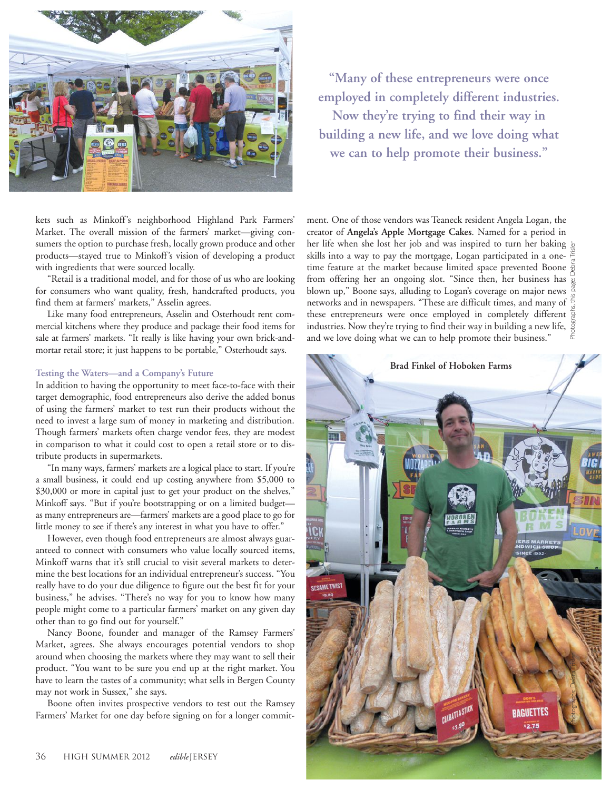

**"Many of these entrepreneurs were once employed in completely different industries. Now they're trying to find their way in building a new life, and we love doing what we can to help promote their business."**

kets such as Minkoff's neighborhood Highland Park Farmers' Market. The overall mission of the farmers' market—giving consumers the option to purchase fresh, locally grown produce and other products—stayed true to Minkoff's vision of developing a product with ingredients that were sourced locally.

"Retail is a traditional model, and for those of us who are looking for consumers who want quality, fresh, handcrafted products, you find them at farmers' markets," Asselin agrees.

Like many food entrepreneurs, Asselin and Osterhoudt rent commercial kitchens where they produce and package their food items for sale at farmers' markets. "It really is like having your own brick-andmortar retail store; it just happens to be portable," Osterhoudt says.

#### **Testing the Waters—and a Company's Future**

In addition to having the opportunity to meet face-to-face with their target demographic, food entrepreneurs also derive the added bonus of using the farmers' market to test run their products without the need to invest a large sum of money in marketing and distribution. Though farmers' markets often charge vendor fees, they are modest in comparison to what it could cost to open a retail store or to distribute products in supermarkets.

"In many ways, farmers' markets are a logical place to start. If you're a small business, it could end up costing anywhere from \$5,000 to \$30,000 or more in capital just to get your product on the shelves," Minkoff says. "But if you're bootstrapping or on a limited budget as many entrepreneurs are—farmers' markets are a good place to go for little money to see if there's any interest in what you have to offer."

However, even though food entrepreneurs are almost always guaranteed to connect with consumers who value locally sourced items, Minkoff warns that it's still crucial to visit several markets to determine the best locations for an individual entrepreneur's success. "You really have to do your due diligence to figure out the best fit for your business," he advises. "There's no way for you to know how many people might come to a particular farmers' market on any given day other than to go find out for yourself."

Nancy Boone, founder and manager of the Ramsey Farmers' Market, agrees. She always encourages potential vendors to shop around when choosing the markets where they may want to sell their product. "You want to be sure you end up at the right market. You have to learn the tastes of a community; what sells in Bergen County may not work in Sussex," she says.

Boone often invites prospective vendors to test out the Ramsey Farmers' Market for one day before signing on for a longer commit-

ment. One of those vendors was Teaneck resident Angela Logan, the creator of **Angela's Apple Mortgage Cakes**. Named for a period in her life when she lost her job and was inspired to turn her baking  $\frac{1}{2}$ skills into a way to pay the mortgage, Logan participated in a onetime feature at the market because limited space prevented Boone  $\frac{5}{9}$ from offering her an ongoing slot. "Since then, her business has blown up," Boone says, alluding to Logan's coverage on major news networks and in newspapers. "These are difficult times, and many of  $\frac{\epsilon}{L}$ these entrepreneurs were once employed in completely different  $\frac{1}{6}$ industries. Now they're trying to find their way in building a new life,  $\frac{\mathbb{S}}{\mathbb{S}}$ and we love doing what we can to help promote their business." Photographs, this page: Debra Trisler

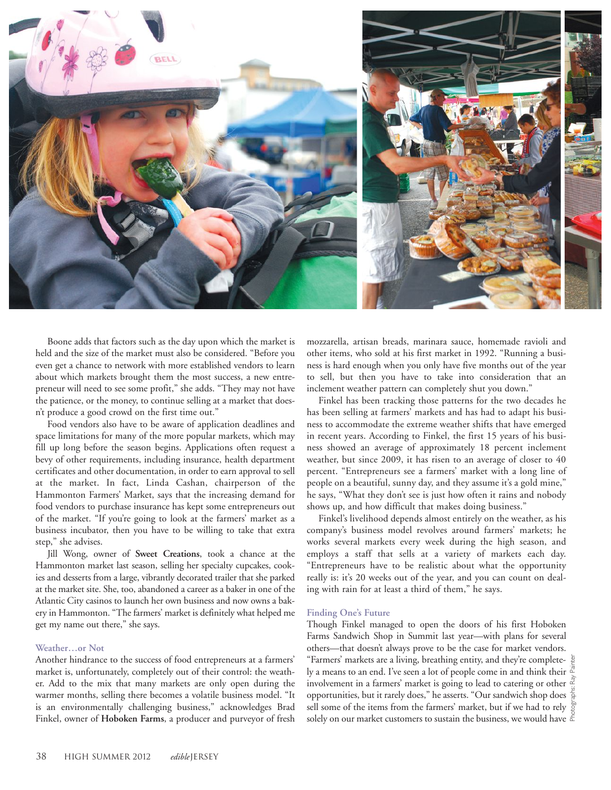

Boone adds that factors such as the day upon which the market is held and the size of the market must also be considered. "Before you even get a chance to network with more established vendors to learn about which markets brought them the most success, a new entrepreneur will need to see some profit," she adds. "They may not have the patience, or the money, to continue selling at a market that doesn't produce a good crowd on the first time out."

Food vendors also have to be aware of application deadlines and space limitations for many of the more popular markets, which may fill up long before the season begins. Applications often request a bevy of other requirements, including insurance, health department certificates and other documentation, in order to earn approval to sell at the market. In fact, Linda Cashan, chairperson of the Hammonton Farmers' Market, says that the increasing demand for food vendors to purchase insurance has kept some entrepreneurs out of the market. "If you're going to look at the farmers' market as a business incubator, then you have to be willing to take that extra step," she advises.

Jill Wong, owner of **Sweet Creations**, took a chance at the Hammonton market last season, selling her specialty cupcakes, cookies and desserts from a large, vibrantly decorated trailer that she parked at the market site. She, too, abandoned a career as a baker in one of the Atlantic City casinos to launch her own business and now owns a bakery in Hammonton. "The farmers' market is definitely what helped me get my name out there," she says.

#### **Weather…or Not**

Another hindrance to the success of food entrepreneurs at a farmers' market is, unfortunately, completely out of their control: the weather. Add to the mix that many markets are only open during the warmer months, selling there becomes a volatile business model. "It is an environmentally challenging business," acknowledges Brad Finkel, owner of **Hoboken Farms**, a producer and purveyor of fresh

mozzarella, artisan breads, marinara sauce, homemade ravioli and other items, who sold at his first market in 1992. "Running a business is hard enough when you only have five months out of the year to sell, but then you have to take into consideration that an inclement weather pattern can completely shut you down."

Finkel has been tracking those patterns for the two decades he has been selling at farmers' markets and has had to adapt his business to accommodate the extreme weather shifts that have emerged in recent years. According to Finkel, the first 15 years of his business showed an average of approximately 18 percent inclement weather, but since 2009, it has risen to an average of closer to 40 percent. "Entrepreneurs see a farmers' market with a long line of people on a beautiful, sunny day, and they assume it's a gold mine," he says, "What they don't see is just how often it rains and nobody shows up, and how difficult that makes doing business."

Finkel's livelihood depends almost entirely on the weather, as his company's business model revolves around farmers' markets; he works several markets every week during the high season, and employs a staff that sells at a variety of markets each day. "Entrepreneurs have to be realistic about what the opportunity really is: it's 20 weeks out of the year, and you can count on dealing with rain for at least a third of them," he says.

#### **Finding One's Future**

Though Finkel managed to open the doors of his first Hoboken Farms Sandwich Shop in Summit last year—with plans for several others—that doesn't always prove to be the case for market vendors. "Farmers' markets are a living, breathing entity, and they're complete-  $\frac{5}{5}$ ly a means to an end. I've seen a lot of people come in and think their  $\mathbb{E}$ involvement in a farmers' market is going to lead to catering or other  $\frac{3}{4}$ opportunities, but it rarely does," he asserts. "Our sandwich shop does sell some of the items from the farmers' market, but if we had to rely  $\frac{5}{9}$ solely on our market customers to sustain the business, we would have  $\frac{8}{3}$